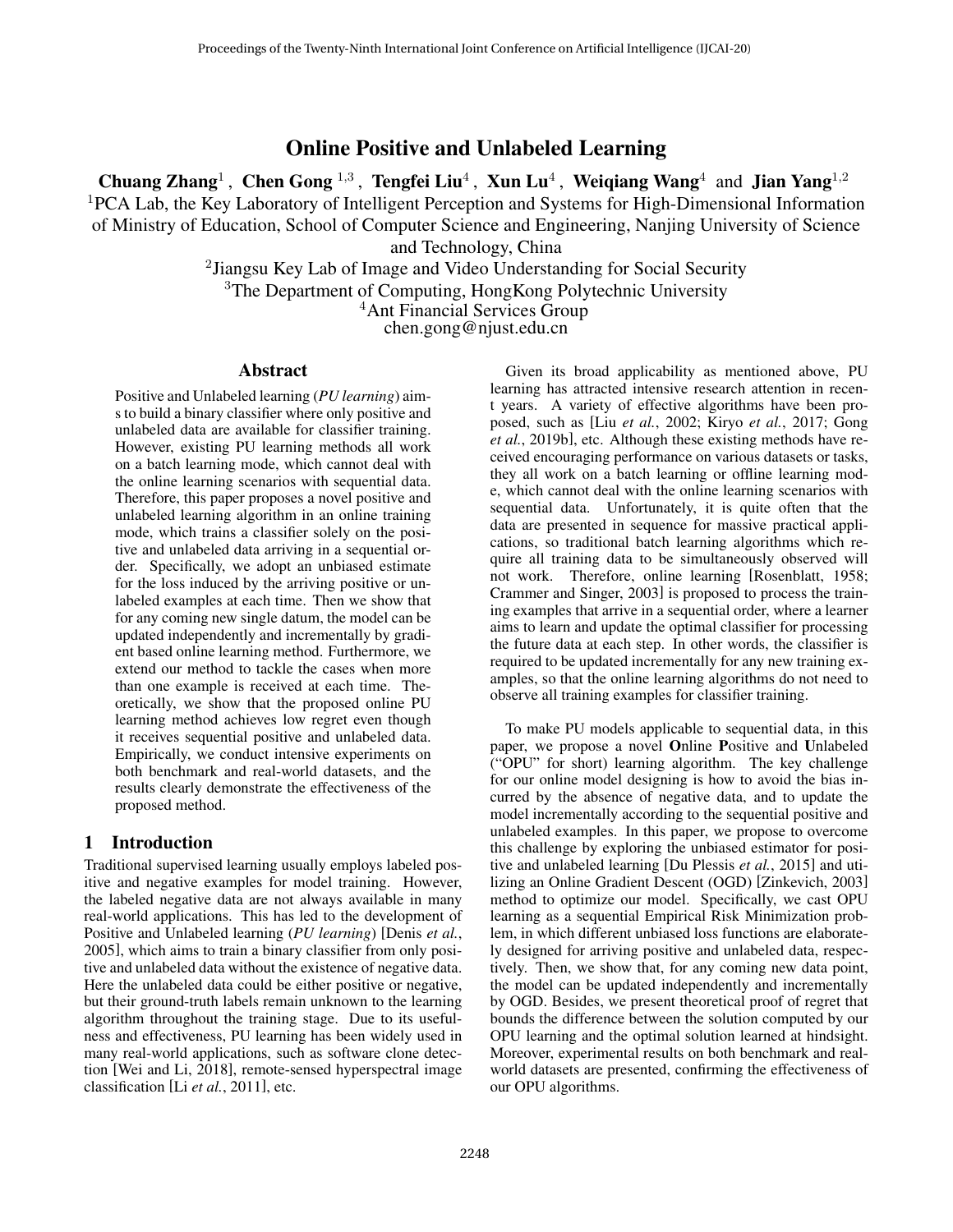# Online Positive and Unlabeled Learning

Chuang Zhang<sup>1</sup>, Chen Gong<sup>1,3</sup>, Tengfei Liu<sup>4</sup>, Xun Lu<sup>4</sup>, Weiqiang Wang<sup>4</sup> and Jian Yang<sup>1,2</sup>  ${}^{1}$ PCA Lab, the Key Laboratory of Intelligent Perception and Systems for High-Dimensional Information of Ministry of Education, School of Computer Science and Engineering, Nanjing University of Science

and Technology, China

<sup>2</sup> Jiangsu Key Lab of Image and Video Understanding for Social Security <sup>3</sup>The Department of Computing, HongKong Polytechnic University <sup>4</sup>Ant Financial Services Group chen.gong@njust.edu.cn

### Abstract

Positive and Unlabeled learning (*PU learning*) aims to build a binary classifier where only positive and unlabeled data are available for classifier training. However, existing PU learning methods all work on a batch learning mode, which cannot deal with the online learning scenarios with sequential data. Therefore, this paper proposes a novel positive and unlabeled learning algorithm in an online training mode, which trains a classifier solely on the positive and unlabeled data arriving in a sequential order. Specifically, we adopt an unbiased estimate for the loss induced by the arriving positive or unlabeled examples at each time. Then we show that for any coming new single datum, the model can be updated independently and incrementally by gradient based online learning method. Furthermore, we extend our method to tackle the cases when more than one example is received at each time. Theoretically, we show that the proposed online PU learning method achieves low regret even though it receives sequential positive and unlabeled data. Empirically, we conduct intensive experiments on both benchmark and real-world datasets, and the results clearly demonstrate the effectiveness of the proposed method.

# 1 Introduction

Traditional supervised learning usually employs labeled positive and negative examples for model training. However, the labeled negative data are not always available in many real-world applications. This has led to the development of Positive and Unlabeled learning (*PU learning*) [Denis *et al.*, 2005], which aims to train a binary classifier from only positive and unlabeled data without the existence of negative data. Here the unlabeled data could be either positive or negative, but their ground-truth labels remain unknown to the learning algorithm throughout the training stage. Due to its usefulness and effectiveness, PU learning has been widely used in many real-world applications, such as software clone detection [Wei and Li, 2018], remote-sensed hyperspectral image classification [Li *et al.*, 2011], etc.

Given its broad applicability as mentioned above, PU learning has attracted intensive research attention in recent years. A variety of effective algorithms have been proposed, such as [Liu *et al.*, 2002; Kiryo *et al.*, 2017; Gong *et al.*, 2019b], etc. Although these existing methods have received encouraging performance on various datasets or tasks, they all work on a batch learning or offline learning mode, which cannot deal with the online learning scenarios with sequential data. Unfortunately, it is quite often that the data are presented in sequence for massive practical applications, so traditional batch learning algorithms which require all training data to be simultaneously observed will not work. Therefore, online learning [Rosenblatt, 1958; Crammer and Singer, 2003] is proposed to process the training examples that arrive in a sequential order, where a learner aims to learn and update the optimal classifier for processing the future data at each step. In other words, the classifier is required to be updated incrementally for any new training examples, so that the online learning algorithms do not need to observe all training examples for classifier training.

To make PU models applicable to sequential data, in this paper, we propose a novel Online Positive and Unlabeled ("OPU" for short) learning algorithm. The key challenge for our online model designing is how to avoid the bias incurred by the absence of negative data, and to update the model incrementally according to the sequential positive and unlabeled examples. In this paper, we propose to overcome this challenge by exploring the unbiased estimator for positive and unlabeled learning [Du Plessis *et al.*, 2015] and utilizing an Online Gradient Descent (OGD) [Zinkevich, 2003] method to optimize our model. Specifically, we cast OPU learning as a sequential Empirical Risk Minimization problem, in which different unbiased loss functions are elaborately designed for arriving positive and unlabeled data, respectively. Then, we show that, for any coming new data point, the model can be updated independently and incrementally by OGD. Besides, we present theoretical proof of regret that bounds the difference between the solution computed by our OPU learning and the optimal solution learned at hindsight. Moreover, experimental results on both benchmark and realworld datasets are presented, confirming the effectiveness of our OPU algorithms.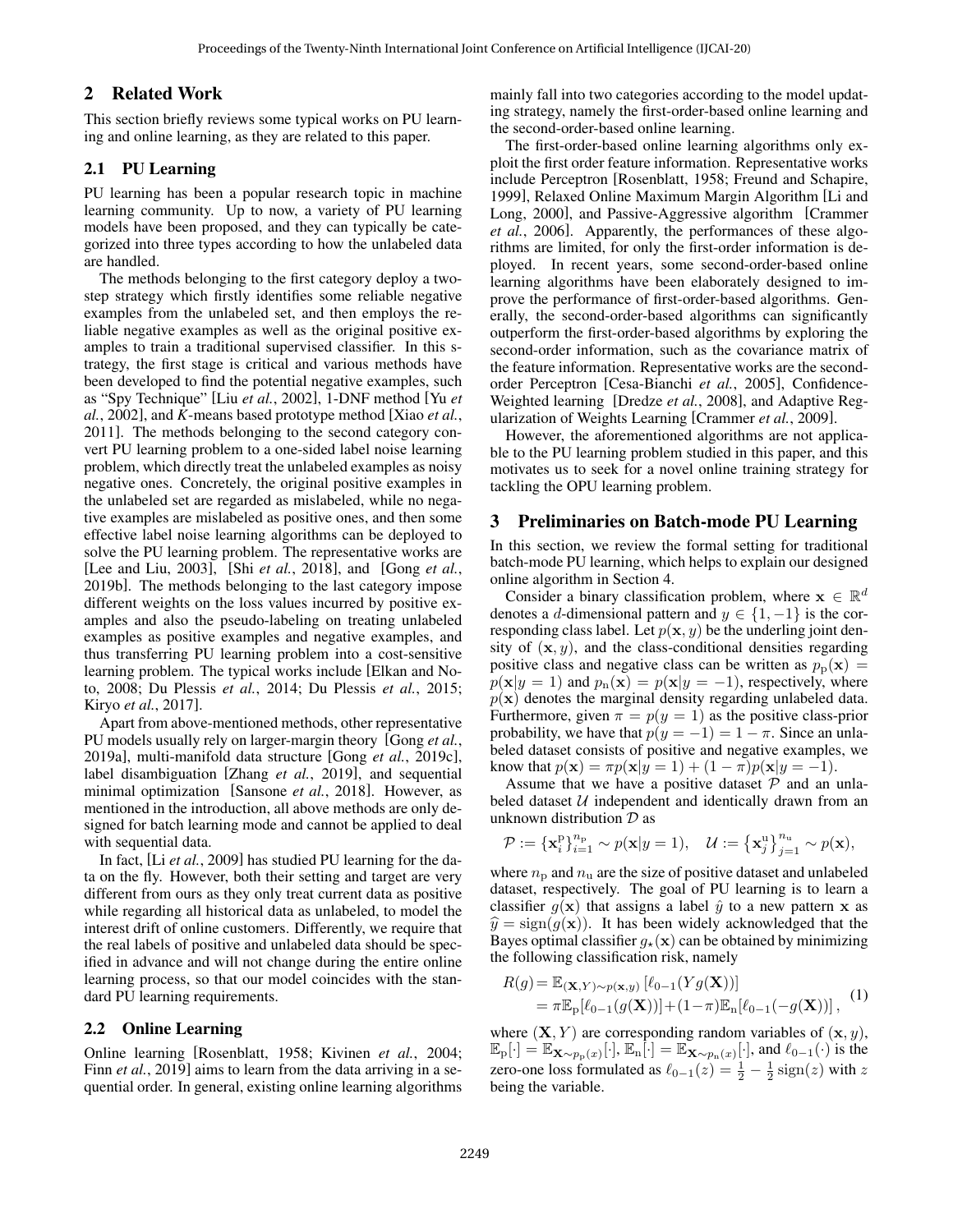# 2 Related Work

This section briefly reviews some typical works on PU learning and online learning, as they are related to this paper.

# 2.1 PU Learning

PU learning has been a popular research topic in machine learning community. Up to now, a variety of PU learning models have been proposed, and they can typically be categorized into three types according to how the unlabeled data are handled.

The methods belonging to the first category deploy a twostep strategy which firstly identifies some reliable negative examples from the unlabeled set, and then employs the reliable negative examples as well as the original positive examples to train a traditional supervised classifier. In this strategy, the first stage is critical and various methods have been developed to find the potential negative examples, such as "Spy Technique" [Liu *et al.*, 2002], 1-DNF method [Yu *et al.*, 2002], and *K*-means based prototype method [Xiao *et al.*, 2011]. The methods belonging to the second category convert PU learning problem to a one-sided label noise learning problem, which directly treat the unlabeled examples as noisy negative ones. Concretely, the original positive examples in the unlabeled set are regarded as mislabeled, while no negative examples are mislabeled as positive ones, and then some effective label noise learning algorithms can be deployed to solve the PU learning problem. The representative works are [Lee and Liu, 2003], [Shi *et al.*, 2018], and [Gong *et al.*, 2019b]. The methods belonging to the last category impose different weights on the loss values incurred by positive examples and also the pseudo-labeling on treating unlabeled examples as positive examples and negative examples, and thus transferring PU learning problem into a cost-sensitive learning problem. The typical works include [Elkan and Noto, 2008; Du Plessis *et al.*, 2014; Du Plessis *et al.*, 2015; Kiryo *et al.*, 2017].

Apart from above-mentioned methods, other representative PU models usually rely on larger-margin theory [Gong *et al.*, 2019a], multi-manifold data structure [Gong *et al.*, 2019c], label disambiguation [Zhang *et al.*, 2019], and sequential minimal optimization [Sansone *et al.*, 2018]. However, as mentioned in the introduction, all above methods are only designed for batch learning mode and cannot be applied to deal with sequential data.

In fact, [Li *et al.*, 2009] has studied PU learning for the data on the fly. However, both their setting and target are very different from ours as they only treat current data as positive while regarding all historical data as unlabeled, to model the interest drift of online customers. Differently, we require that the real labels of positive and unlabeled data should be specified in advance and will not change during the entire online learning process, so that our model coincides with the standard PU learning requirements.

### 2.2 Online Learning

Online learning [Rosenblatt, 1958; Kivinen *et al.*, 2004; Finn *et al.*, 2019] aims to learn from the data arriving in a sequential order. In general, existing online learning algorithms mainly fall into two categories according to the model updating strategy, namely the first-order-based online learning and the second-order-based online learning.

The first-order-based online learning algorithms only exploit the first order feature information. Representative works include Perceptron [Rosenblatt, 1958; Freund and Schapire, 1999], Relaxed Online Maximum Margin Algorithm [Li and Long, 2000], and Passive-Aggressive algorithm [Crammer *et al.*, 2006]. Apparently, the performances of these algorithms are limited, for only the first-order information is deployed. In recent years, some second-order-based online learning algorithms have been elaborately designed to improve the performance of first-order-based algorithms. Generally, the second-order-based algorithms can significantly outperform the first-order-based algorithms by exploring the second-order information, such as the covariance matrix of the feature information. Representative works are the secondorder Perceptron [Cesa-Bianchi *et al.*, 2005], Confidence-Weighted learning [Dredze *et al.*, 2008], and Adaptive Regularization of Weights Learning [Crammer *et al.*, 2009].

However, the aforementioned algorithms are not applicable to the PU learning problem studied in this paper, and this motivates us to seek for a novel online training strategy for tackling the OPU learning problem.

# 3 Preliminaries on Batch-mode PU Learning

In this section, we review the formal setting for traditional batch-mode PU learning, which helps to explain our designed online algorithm in Section 4.

Consider a binary classification problem, where  $\mathbf{x} \in \mathbb{R}^d$ denotes a d-dimensional pattern and  $y \in \{1, -1\}$  is the corresponding class label. Let  $p(\mathbf{x}, y)$  be the underling joint density of  $(x, y)$ , and the class-conditional densities regarding positive class and negative class can be written as  $p_p(\mathbf{x}) =$  $p(\mathbf{x}|y = 1)$  and  $p_n(\mathbf{x}) = p(\mathbf{x}|y = -1)$ , respectively, where  $p(x)$  denotes the marginal density regarding unlabeled data. Furthermore, given  $\pi = p(y = 1)$  as the positive class-prior probability, we have that  $p(y = -1) = 1 - \pi$ . Since an unlabeled dataset consists of positive and negative examples, we know that  $p(\mathbf{x}) = \pi p(\mathbf{x}|y=1) + (1-\pi)p(\mathbf{x}|y=-1)$ .

Assume that we have a positive dataset  $P$  and an unlabeled dataset  $U$  independent and identically drawn from an unknown distribution  $D$  as

$$
\mathcal{P}:=\left\{\mathbf{x}_i^{\rm{p}}\right\}_{i=1}^{n_{\rm{p}}}\sim p(\mathbf{x}|y=1),\quad \mathcal{U}:=\left\{\mathbf{x}_j^{\rm{u}}\right\}_{j=1}^{n_{\rm{u}}}\sim p(\mathbf{x}),
$$

where  $n_{\rm p}$  and  $n_{\rm u}$  are the size of positive dataset and unlabeled dataset, respectively. The goal of PU learning is to learn a classifier  $g(x)$  that assigns a label  $\hat{y}$  to a new pattern x as  $\hat{y} = \text{sign}(q(\mathbf{x}))$ . It has been widely acknowledged that the Bayes optimal classifier  $g_{\star}(\mathbf{x})$  can be obtained by minimizing the following classification risk, namely

$$
R(g) = \mathbb{E}_{(\mathbf{X}, Y) \sim p(\mathbf{x}, y)} [\ell_{0-1}(Y g(\mathbf{X}))]
$$
  
=  $\pi \mathbb{E}_{p} [\ell_{0-1}(g(\mathbf{X}))] + (1-\pi) \mathbb{E}_{n} [\ell_{0-1}(-g(\mathbf{X}))],$  (1)

where  $(X, Y)$  are corresponding random variables of  $(x, y)$ ,  $\mathbb{E}_{\mathrm{p}}[\cdot] = \mathbb{E}_{\mathbf{X} \sim p_{\mathrm{p}}(x)}[\cdot], \mathbb{E}_{\mathrm{n}}[\cdot] = \mathbb{E}_{\mathbf{X} \sim p_{\mathrm{n}}(x)}[\cdot],$  and  $\ell_{0-1}(\cdot)$  is the zero-one loss formulated as  $\ell_{0-1}(z) = \frac{1}{2} - \frac{1}{2}$  sign(z) with z being the variable.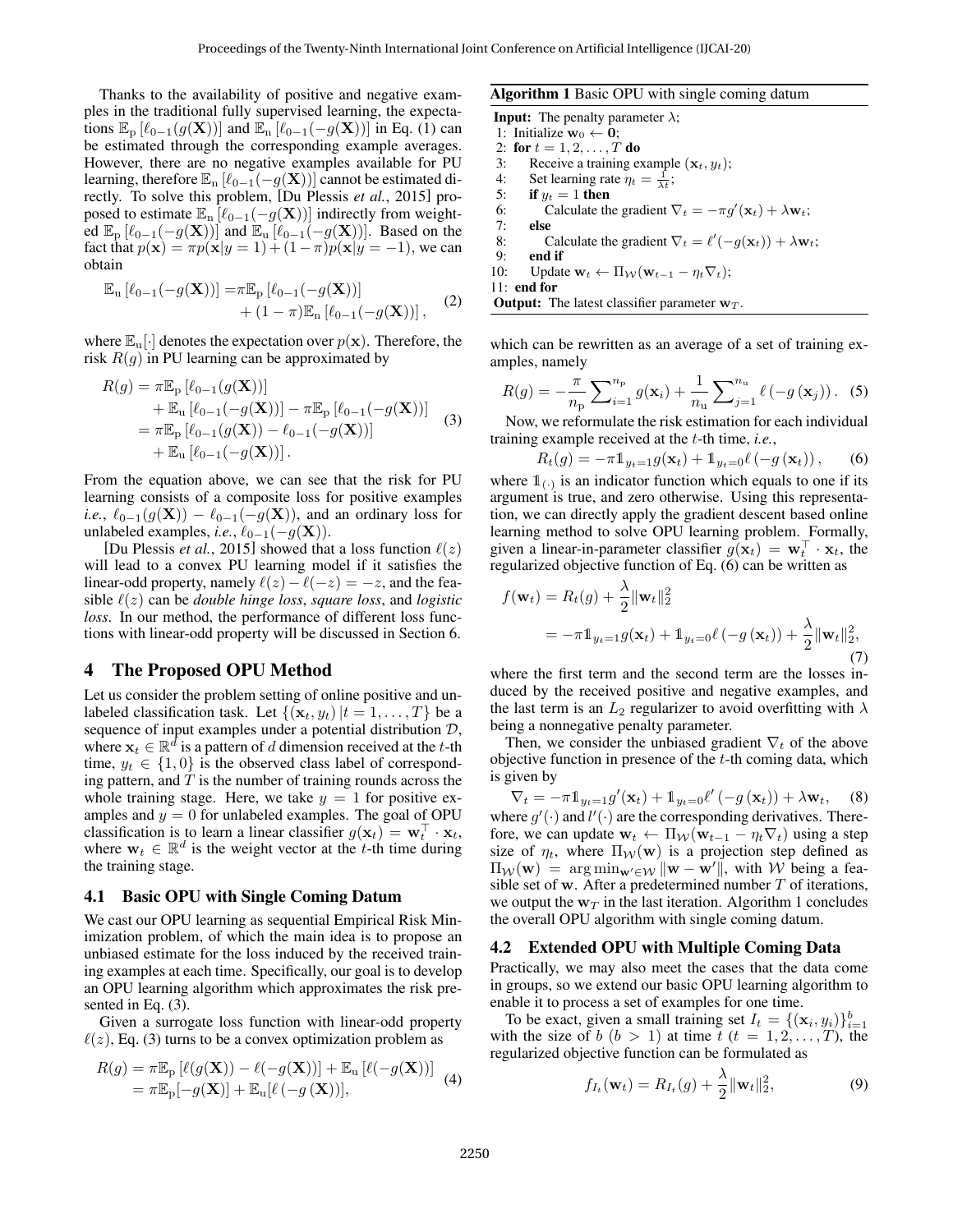Thanks to the availability of positive and negative examples in the traditional fully supervised learning, the expectations  $\mathbb{E}_{p} [l_{0-1}(g(\mathbf{X}))]$  and  $\mathbb{E}_{p} [l_{0-1}(-g(\mathbf{X}))]$  in Eq. (1) can be estimated through the corresponding example averages. However, there are no negative examples available for PU learning, therefore  $\mathbb{E}_{n}$  [ $\ell_{0-1}(-g(\mathbf{X}))$ ] cannot be estimated directly. To solve this problem, [Du Plessis *et al.*, 2015] proposed to estimate  $\mathbb{E}_{n}$  [ $\ell_{0-1}(-g(\mathbf{X}))$ ] indirectly from weighted  $\mathbb{E}_{p}$  [ $\ell_{0-1}(-g(\mathbf{X}))$ ] and  $\mathbb{E}_{u}$  [ $\ell_{0-1}(-g(\mathbf{X}))$ ]. Based on the fact that  $p(\mathbf{x}) = \pi p(\mathbf{x}|y=1) + (1-\pi)p(\mathbf{x}|y=-1)$ , we can obtain

$$
\mathbb{E}_{\mathbf{u}}\left[\ell_{0-1}(-g(\mathbf{X}))\right] = \pi \mathbb{E}_{\mathbf{p}}\left[\ell_{0-1}(-g(\mathbf{X}))\right] + (1-\pi)\mathbb{E}_{\mathbf{n}}\left[\ell_{0-1}(-g(\mathbf{X}))\right],\tag{2}
$$

where  $\mathbb{E}_{\mathbf{u}}[\cdot]$  denotes the expectation over  $p(\mathbf{x})$ . Therefore, the risk  $R(g)$  in PU learning can be approximated by

$$
R(g) = \pi \mathbb{E}_{\mathbf{p}} [\ell_{0-1}(g(\mathbf{X}))]
$$
  
+  $\mathbb{E}_{\mathbf{u}} [\ell_{0-1}(-g(\mathbf{X}))] - \pi \mathbb{E}_{\mathbf{p}} [\ell_{0-1}(-g(\mathbf{X}))]$   
=  $\pi \mathbb{E}_{\mathbf{p}} [\ell_{0-1}(g(\mathbf{X})) - \ell_{0-1}(-g(\mathbf{X}))]$   
+  $\mathbb{E}_{\mathbf{u}} [\ell_{0-1}(-g(\mathbf{X}))].$  (3)

From the equation above, we can see that the risk for PU learning consists of a composite loss for positive examples *i.e.*,  $\ell_{0-1}(g(\mathbf{X})) - \ell_{0-1}(-g(\mathbf{X}))$ , and an ordinary loss for unlabeled examples, *i.e.*,  $\ell_{0-1}(-g(\mathbf{X}))$ .

[Du Plessis *et al.*, 2015] showed that a loss function  $\ell(z)$ will lead to a convex PU learning model if it satisfies the linear-odd property, namely  $\ell(z) - \ell(-z) = -z$ , and the feasible  $\ell(z)$  can be *double hinge loss*, *square loss*, and *logistic loss*. In our method, the performance of different loss functions with linear-odd property will be discussed in Section 6.

# 4 The Proposed OPU Method

Let us consider the problem setting of online positive and unlabeled classification task. Let  $\{(\mathbf{x}_t, y_t)|t = 1, \ldots, T\}$  be a sequence of input examples under a potential distribution  $D$ , where  $\mathbf{x}_t \in \mathbb{R}^d$  is a pattern of d dimension received at the t-th time,  $y_t \in \{1,0\}$  is the observed class label of corresponding pattern, and  $T$  is the number of training rounds across the whole training stage. Here, we take  $y = 1$  for positive examples and  $y = 0$  for unlabeled examples. The goal of OPU classification is to learn a linear classifier  $g(\mathbf{x}_t) = \mathbf{w}_t^{\top} \cdot \mathbf{x}_t$ , where  $\mathbf{w}_t \in \mathbb{R}^d$  is the weight vector at the t-th time during the training stage.

### 4.1 Basic OPU with Single Coming Datum

We cast our OPU learning as sequential Empirical Risk Minimization problem, of which the main idea is to propose an unbiased estimate for the loss induced by the received training examples at each time. Specifically, our goal is to develop an OPU learning algorithm which approximates the risk presented in Eq. (3).

Given a surrogate loss function with linear-odd property  $\ell(z)$ , Eq. (3) turns to be a convex optimization problem as

$$
R(g) = \pi \mathbb{E}_{\mathbf{p}} \left[ \ell(g(\mathbf{X})) - \ell(-g(\mathbf{X})) \right] + \mathbb{E}_{\mathbf{u}} \left[ \ell(-g(\mathbf{X})) \right]
$$
  
=  $\pi \mathbb{E}_{\mathbf{p}}[-g(\mathbf{X})] + \mathbb{E}_{\mathbf{u}}[\ell(-g(\mathbf{X}))],$  (4)

### Algorithm 1 Basic OPU with single coming datum

**Input:** The penalty parameter  $\lambda$ ;

1: Initialize  $\mathbf{w}_0 \leftarrow \mathbf{0}$ ;

- 2: for  $t = 1, 2, ..., T$  do 3: Receive a training example  $(\mathbf{x}_t, y_t)$ ;
- 4: Set learning rate  $\eta_t = \frac{1}{\lambda t}$ ;
- 5: if  $y_t = 1$  then
- 6: Calculate the gradient  $\nabla_t = -\pi g'(\mathbf{x}_t) + \lambda \mathbf{w}_t;$
- 7: else
- 8: Calculate the gradient  $\nabla_t = \ell'(-g(\mathbf{x}_t)) + \lambda \mathbf{w}_t;$
- 9: **end if**<br>10: **Updat**
- Update  $\mathbf{w}_t \leftarrow \Pi_{\mathcal{W}}(\mathbf{w}_{t-1} \eta_t \nabla_t);$
- 11: end for

**Output:** The latest classifier parameter  $w_T$ .

which can be rewritten as an average of a set of training examples, namely

$$
R(g) = -\frac{\pi}{n_{\rm p}} \sum_{i=1}^{n_{\rm p}} g(\mathbf{x}_i) + \frac{1}{n_{\rm u}} \sum_{j=1}^{n_{\rm u}} \ell(-g(\mathbf{x}_j)).
$$
 (5)

Now, we reformulate the risk estimation for each individual training example received at the t-th time, *i.e.*,

$$
R_t(g) = -\pi 1_{y_t=1} g(\mathbf{x}_t) + 1_{y_t=0} \ell(-g(\mathbf{x}_t)), \qquad (6)
$$

where  $\mathbb{1}_{\binom{n}{k}}$  is an indicator function which equals to one if its argument is true, and zero otherwise. Using this representation, we can directly apply the gradient descent based online learning method to solve OPU learning problem. Formally, given a linear-in-parameter classifier  $g(\mathbf{x}_t) = \mathbf{w}_t^{\top} \cdot \mathbf{x}_t$ , the regularized objective function of Eq. (6) can be written as

$$
f(\mathbf{w}_t) = R_t(g) + \frac{\lambda}{2} \|\mathbf{w}_t\|_2^2
$$
  
= 
$$
-\pi \mathbb{1}_{y_t=1} g(\mathbf{x}_t) + \mathbb{1}_{y_t=0} \ell(-g(\mathbf{x}_t)) + \frac{\lambda}{2} \|\mathbf{w}_t\|_2^2,
$$
 (7)

where the first term and the second term are the losses induced by the received positive and negative examples, and the last term is an  $L_2$  regularizer to avoid overfitting with  $\lambda$ being a nonnegative penalty parameter.

Then, we consider the unbiased gradient  $\nabla_t$  of the above objective function in presence of the  $t$ -th coming data, which is given by

 $\nabla_t = -\pi \mathbb{1}_{y_t=1} g'(\mathbf{x}_t) + \mathbb{1}_{y_t=0} \ell'(-g(\mathbf{x}_t)) + \lambda \mathbf{w}_t,$  (8) where  $g'(\cdot)$  and  $l'(\cdot)$  are the corresponding derivatives. Therefore, we can update  $\mathbf{w}_t \leftarrow \Pi_{\mathcal{W}}(\mathbf{w}_{t-1} - \eta_t \nabla_t)$  using a step size of  $\eta_t$ , where  $\Pi_{\mathcal{W}}(\mathbf{w})$  is a projection step defined as  $\Pi_{\mathcal{W}}(\mathbf{w}) = \arg \min_{\mathbf{w}' \in \mathcal{W}} \|\mathbf{w} - \mathbf{w}'\|$ , with W being a feasible set of w. After a predetermined number  $T$  of iterations, we output the  $w_T$  in the last iteration. Algorithm 1 concludes the overall OPU algorithm with single coming datum.

### 4.2 Extended OPU with Multiple Coming Data

Practically, we may also meet the cases that the data come in groups, so we extend our basic OPU learning algorithm to enable it to process a set of examples for one time.

To be exact, given a small training set  $I_t = \{(\mathbf{x}_i, y_i)\}_{i=1}^b$ with the size of  $b$   $(b > 1)$  at time  $t$   $(t = 1, 2, \ldots, T)$ , the regularized objective function can be formulated as

$$
f_{I_t}(\mathbf{w}_t) = R_{I_t}(g) + \frac{\lambda}{2} ||\mathbf{w}_t||_2^2, \tag{9}
$$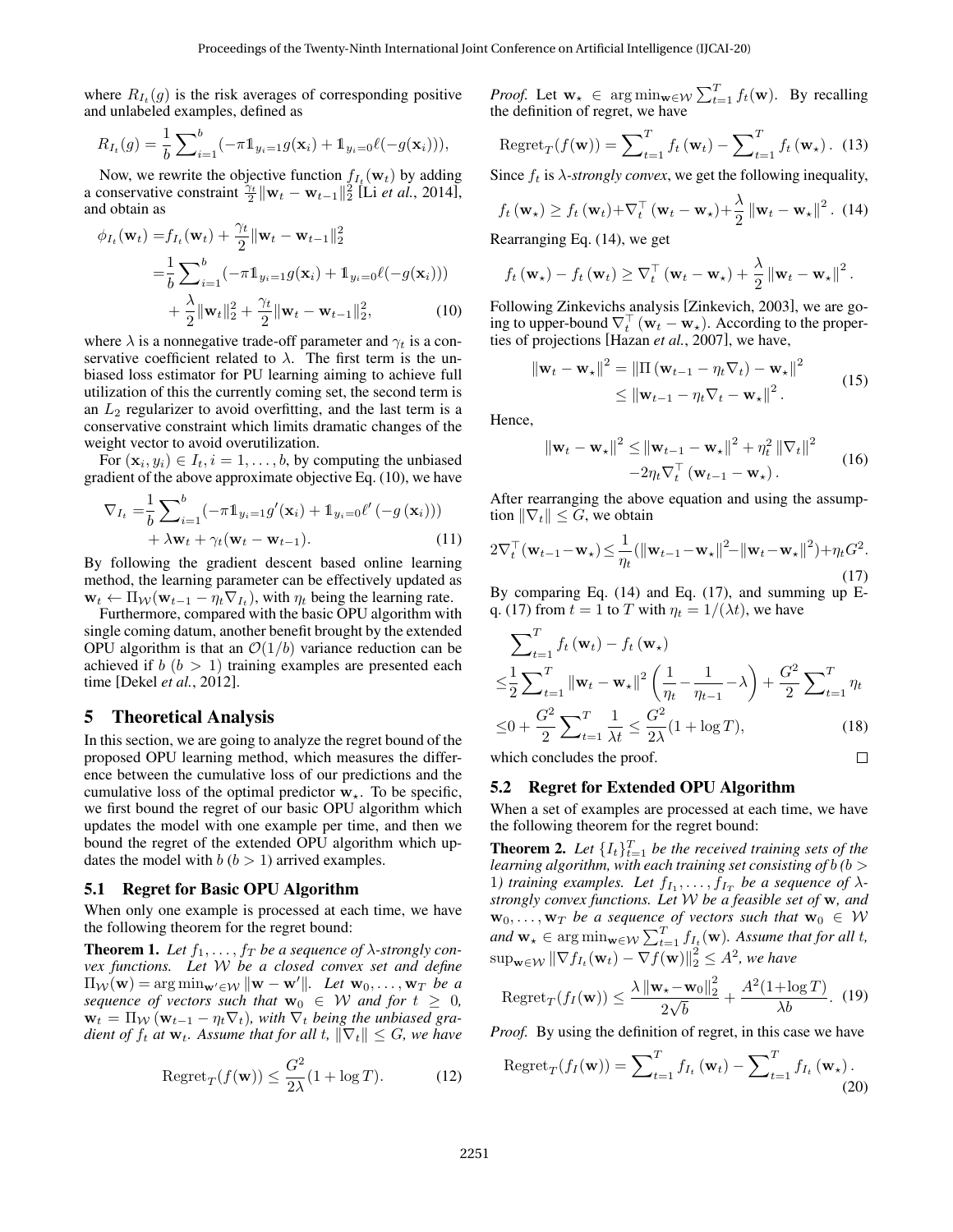where  $R_{I_t}(g)$  is the risk averages of corresponding positive and unlabeled examples, defined as

$$
R_{I_t}(g) = \frac{1}{b} \sum_{i=1}^{b} (-\pi \mathbb{1}_{y_i=1} g(\mathbf{x}_i) + \mathbb{1}_{y_i=0} \ell(-g(\mathbf{x}_i))),
$$

Now, we rewrite the objective function  $f_{I_t}(\mathbf{w}_t)$  by adding a conservative constraint  $\frac{\gamma_t}{2} \|\mathbf{w}_t - \mathbf{w}_{t-1}\|_2^2$  [Li *et al.*, 2014], and obtain as

$$
\phi_{I_t}(\mathbf{w}_t) = f_{I_t}(\mathbf{w}_t) + \frac{\gamma_t}{2} ||\mathbf{w}_t - \mathbf{w}_{t-1}||_2^2
$$
  
=  $\frac{1}{b} \sum_{i=1}^b (-\pi \mathbf{1}_{y_i=1} g(\mathbf{x}_i) + \mathbf{1}_{y_i=0} \ell(-g(\mathbf{x}_i)))$   
+  $\frac{\lambda}{2} ||\mathbf{w}_t||_2^2 + \frac{\gamma_t}{2} ||\mathbf{w}_t - \mathbf{w}_{t-1}||_2^2,$  (10)

where  $\lambda$  is a nonnegative trade-off parameter and  $\gamma_t$  is a conservative coefficient related to  $\lambda$ . The first term is the unbiased loss estimator for PU learning aiming to achieve full utilization of this the currently coming set, the second term is an  $L_2$  regularizer to avoid overfitting, and the last term is a conservative constraint which limits dramatic changes of the weight vector to avoid overutilization.

For  $(\mathbf{x}_i, y_i) \in I_t, i = 1, \dots, b$ , by computing the unbiased gradient of the above approximate objective Eq. (10), we have

$$
\nabla_{I_t} = \frac{1}{b} \sum_{i=1}^{b} \left( -\pi \mathbb{1}_{y_i=1} g'(\mathbf{x}_i) + \mathbb{1}_{y_i=0} \ell'(-g(\mathbf{x}_i)) \right) + \lambda \mathbf{w}_t + \gamma_t (\mathbf{w}_t - \mathbf{w}_{t-1}).
$$
\n(11)

By following the gradient descent based online learning method, the learning parameter can be effectively updated as  $\mathbf{w}_t \leftarrow \Pi_{\mathcal{W}}(\mathbf{w}_{t-1} - \eta_t \nabla_{I_t}),$  with  $\eta_t$  being the learning rate.

Furthermore, compared with the basic OPU algorithm with single coming datum, another benefit brought by the extended OPU algorithm is that an  $\mathcal{O}(1/b)$  variance reduction can be achieved if  $b$  ( $b > 1$ ) training examples are presented each time [Dekel *et al.*, 2012].

# 5 Theoretical Analysis

In this section, we are going to analyze the regret bound of the proposed OPU learning method, which measures the difference between the cumulative loss of our predictions and the cumulative loss of the optimal predictor  $w_{\star}$ . To be specific, we first bound the regret of our basic OPU algorithm which updates the model with one example per time, and then we bound the regret of the extended OPU algorithm which updates the model with  $b (b > 1)$  arrived examples.

#### 5.1 Regret for Basic OPU Algorithm

When only one example is processed at each time, we have the following theorem for the regret bound:

**Theorem 1.** Let  $f_1, \ldots, f_T$  be a sequence of  $\lambda$ -strongly con*vex functions. Let* W *be a closed convex set and define*  $\Pi_{\mathcal{W}}(\mathbf{w}) = \arg \min_{\mathbf{w}' \in \mathcal{W}} \|\mathbf{w} - \mathbf{w}'\|$ . Let  $\mathbf{w}_0, \dots, \mathbf{w}_T$  be a *sequence of vectors such that*  $w_0 \in W$  *and for*  $t \geq 0$ *,*  $\mathbf{w}_t = \Pi_{\mathcal{W}} (\mathbf{w}_{t-1} - \eta_t \nabla_t)$ , with  $\nabla_t$  being the unbiased gra*dient of*  $f_t$  *at*  $\mathbf{w}_t$ *. Assume that for all t,*  $\|\nabla_t\| \leq G$ *, we have* 

$$
Regret_T(f(\mathbf{w})) \le \frac{G^2}{2\lambda}(1 + \log T). \tag{12}
$$

*Proof.* Let  $\mathbf{w}_\star \in \arg \min_{\mathbf{w} \in \mathcal{W}} \sum_{t=1}^T f_t(\mathbf{w})$ . By recalling the definition of regret, we have

Regret<sub>T</sub>
$$
(f(\mathbf{w})) = \sum_{t=1}^{T} f_t(\mathbf{w}_t) - \sum_{t=1}^{T} f_t(\mathbf{w}_\star)
$$
. (13)

Since  $f_t$  is  $\lambda$ -strongly convex, we get the following inequality,

$$
f_t(\mathbf{w}_\star) \geq f_t(\mathbf{w}_t) + \nabla_t^\top (\mathbf{w}_t - \mathbf{w}_\star) + \frac{\lambda}{2} ||\mathbf{w}_t - \mathbf{w}_\star||^2
$$
. (14)

Rearranging Eq. (14), we get

$$
f_t(\mathbf{w}_\star) - f_t(\mathbf{w}_t) \geq \nabla_t^{\top} (\mathbf{w}_t - \mathbf{w}_\star) + \frac{\lambda}{2} ||\mathbf{w}_t - \mathbf{w}_\star||^2
$$

Following Zinkevichs analysis [Zinkevich, 2003], we are going to upper-bound  $\nabla_t^{\top} (\mathbf{w}_t - \mathbf{w}_*)$ . According to the properties of projections [Hazan *et al.*, 2007], we have,

$$
\|\mathbf{w}_{t} - \mathbf{w}_{\star}\|^{2} = \|\Pi\left(\mathbf{w}_{t-1} - \eta_{t}\nabla_{t}\right) - \mathbf{w}_{\star}\|^{2}
$$
  
\$\leq \|\mathbf{w}\_{t-1} - \eta\_{t}\nabla\_{t} - \mathbf{w}\_{\star}\|^{2}\$. (15)

.

Hence,

$$
\|\mathbf{w}_{t} - \mathbf{w}_{\star}\|^{2} \leq \|\mathbf{w}_{t-1} - \mathbf{w}_{\star}\|^{2} + \eta_{t}^{2} \|\nabla_{t}\|^{2}
$$
  
-2 $\eta_{t} \nabla_{t}^{\top} (\mathbf{w}_{t-1} - \mathbf{w}_{\star}).$  (16)

After rearranging the above equation and using the assumption  $\|\nabla_t\| \leq G$ , we obtain

$$
2\nabla_t^{\top}(\mathbf{w}_{t-1} - \mathbf{w}_{\star}) \leq \frac{1}{\eta_t} (\|\mathbf{w}_{t-1} - \mathbf{w}_{\star}\|^2 - \|\mathbf{w}_t - \mathbf{w}_{\star}\|^2) + \eta_t G^2.
$$
\n(17)

By comparing Eq. (14) and Eq. (17), and summing up Eq. (17) from  $t = 1$  to T with  $\eta_t = 1/(\lambda t)$ , we have

$$
\sum_{t=1}^{T} f_t(\mathbf{w}_t) - f_t(\mathbf{w}_\star)
$$
  
\n
$$
\leq \frac{1}{2} \sum_{t=1}^{T} ||\mathbf{w}_t - \mathbf{w}_\star||^2 \left(\frac{1}{\eta_t} - \frac{1}{\eta_{t-1}} - \lambda\right) + \frac{G^2}{2} \sum_{t=1}^{T} \eta_t
$$
  
\n
$$
\leq 0 + \frac{G^2}{2} \sum_{t=1}^{T} \frac{1}{\lambda t} \leq \frac{G^2}{2\lambda} (1 + \log T),
$$
 (18)  
\nwhich concludes the proof.

which concludes the proof.

### 5.2 Regret for Extended OPU Algorithm

When a set of examples are processed at each time, we have the following theorem for the regret bound:

**Theorem 2.** Let  $\{I_t\}_{t=1}^T$  be the received training sets of the *learning algorithm, with each training set consisting of* b *(*b > 1) training examples. Let  $f_{I_1}, \ldots, f_{I_T}$  be a sequence of  $\lambda$ *strongly convex functions. Let* W *be a feasible set of* w*, and*  $\mathbf{w}_0, \ldots, \mathbf{w}_T$  *be a sequence of vectors such that*  $\mathbf{w}_0 \in \mathcal{W}$ and  $\mathbf{w}_\star \in \arg \min_{\mathbf{w} \in \mathcal{W}} \sum_{t=1}^T f_{I_t}(\mathbf{w})$ *. Assume that for all t*,  $\sup_{\mathbf{w}\in \mathcal{W}} \|\nabla f_{I_t}(\mathbf{w}_t) - \nabla f(\mathbf{w})\|_2^2 \leq A^2$ , we have

$$
\operatorname{Regret}_{T}(f_I(\mathbf{w})) \le \frac{\lambda \left\| \mathbf{w}_\star - \mathbf{w}_0 \right\|_2^2}{2\sqrt{b}} + \frac{A^2(1 + \log T)}{\lambda b}.
$$
 (19)

*Proof.* By using the definition of regret, in this case we have

Regret<sub>T</sub>
$$
(f_I(\mathbf{w})) = \sum_{t=1}^T f_{I_t}(\mathbf{w}_t) - \sum_{t=1}^T f_{I_t}(\mathbf{w}_\star).
$$
 (20)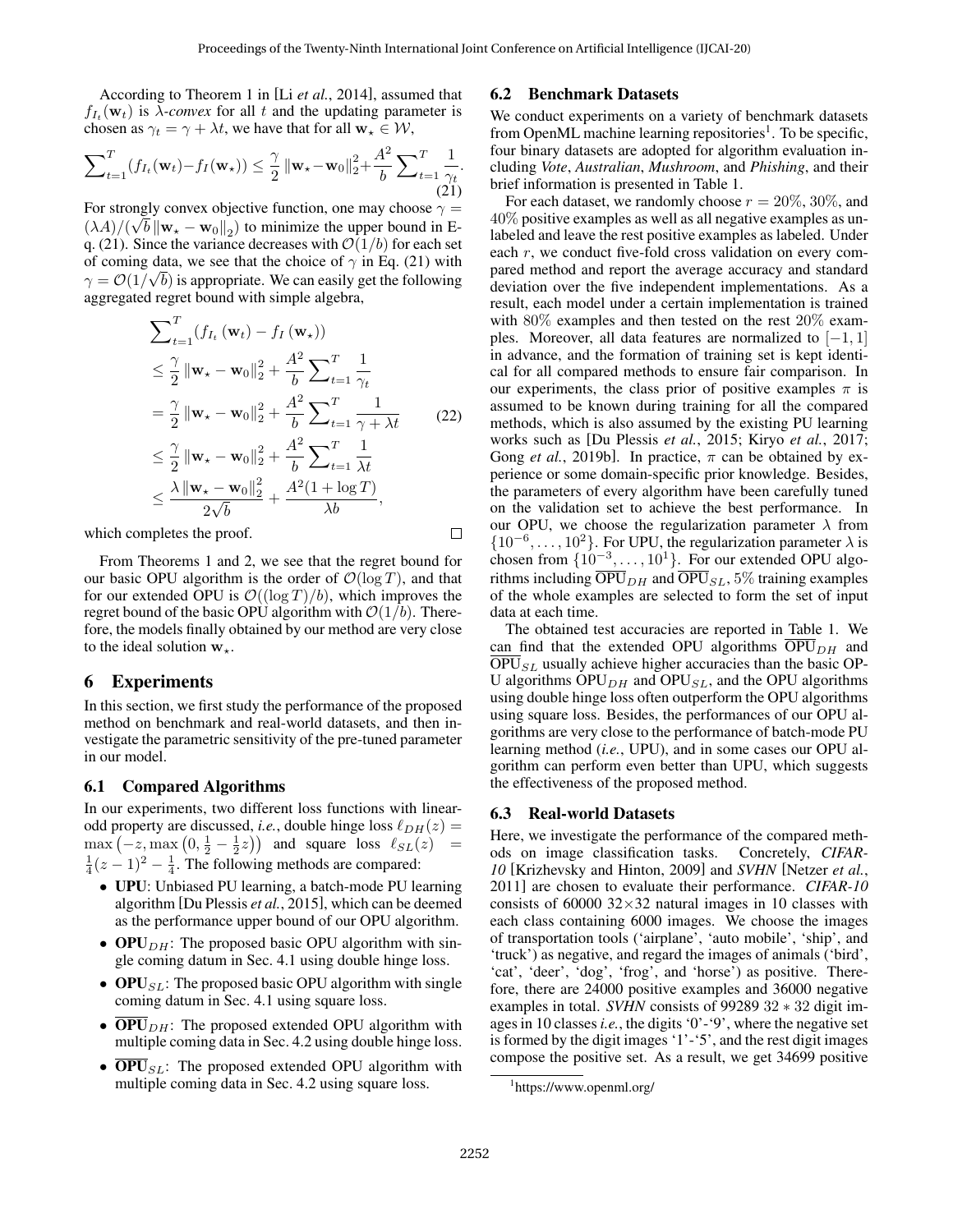$\Box$ 

According to Theorem 1 in [Li *et al.*, 2014], assumed that  $f_{I_t}(\mathbf{w}_t)$  is  $\lambda$ -convex for all t and the updating parameter is chosen as  $\gamma_t = \gamma + \lambda t$ , we have that for all  $\mathbf{w}_\star \in \mathcal{W}$ ,

$$
\sum_{t=1}^{T} (f_{I_t}(\mathbf{w}_t) - f_I(\mathbf{w}_\star)) \leq \frac{\gamma}{2} ||\mathbf{w}_\star - \mathbf{w}_0||_2^2 + \frac{A^2}{b} \sum_{t=1}^{T} \frac{1}{\gamma_t}.
$$
\n(21)

For strongly convex objective function, one may choose  $\gamma =$  $(\lambda A)/(\sqrt{b} \|\mathbf{w}_{\star} - \mathbf{w}_0\|_2)$  to minimize the upper bound in Eq. (21). Since the variance decreases with  $\mathcal{O}(1/b)$  for each set of coming data, we see that the choice of  $\gamma$  in Eq. (21) with  $\gamma = \mathcal{O}(1/\sqrt{b})$  is appropriate. We can easily get the following aggregated regret bound with simple algebra,

$$
\sum_{t=1}^{T} (f_{I_t}(\mathbf{w}_t) - f_I(\mathbf{w}_\star))
$$
\n
$$
\leq \frac{\gamma}{2} ||\mathbf{w}_\star - \mathbf{w}_0||_2^2 + \frac{A^2}{b} \sum_{t=1}^{T} \frac{1}{\gamma_t}
$$
\n
$$
= \frac{\gamma}{2} ||\mathbf{w}_\star - \mathbf{w}_0||_2^2 + \frac{A^2}{b} \sum_{t=1}^{T} \frac{1}{\gamma + \lambda t}
$$
\n
$$
\leq \frac{\gamma}{2} ||\mathbf{w}_\star - \mathbf{w}_0||_2^2 + \frac{A^2}{b} \sum_{t=1}^{T} \frac{1}{\lambda t}
$$
\n
$$
\leq \frac{\lambda ||\mathbf{w}_\star - \mathbf{w}_0||_2^2}{2\sqrt{b}} + \frac{A^2(1 + \log T)}{\lambda b},
$$
\n(22)

which completes the proof.

From Theorems 1 and 2, we see that the regret bound for our basic OPU algorithm is the order of  $\mathcal{O}(\log T)$ , and that for our extended OPU is  $\mathcal{O}((\log T)/b)$ , which improves the regret bound of the basic OPU algorithm with  $\mathcal{O}(1/b)$ . Therefore, the models finally obtained by our method are very close to the ideal solution  $w_{\star}$ .

# 6 Experiments

In this section, we first study the performance of the proposed method on benchmark and real-world datasets, and then investigate the parametric sensitivity of the pre-tuned parameter in our model.

# 6.1 Compared Algorithms

In our experiments, two different loss functions with linearodd property are discussed, *i.e.*, double hinge loss  $\ell_{DH}(z) =$  $\max(-z, \max(0, \frac{1}{2} - \frac{1}{2}z))$  and square loss  $\ell_{SL}(z)$  =  $\frac{1}{4}(z-1)^2 - \frac{1}{4}$ . The following methods are compared:

- UPU: Unbiased PU learning, a batch-mode PU learning algorithm [Du Plessis *et al.*, 2015], which can be deemed as the performance upper bound of our OPU algorithm.
- OPU $_{DH}$ : The proposed basic OPU algorithm with single coming datum in Sec. 4.1 using double hinge loss.
- OPU $_{SL}$ : The proposed basic OPU algorithm with single coming datum in Sec. 4.1 using square loss.
- $\overline{OPU}_{DH}$ : The proposed extended OPU algorithm with multiple coming data in Sec. 4.2 using double hinge loss.
- **OPU**<sub>SL</sub>: The proposed extended OPU algorithm with multiple coming data in Sec. 4.2 using square loss.

### 6.2 Benchmark Datasets

We conduct experiments on a variety of benchmark datasets from OpenML machine learning repositories<sup>1</sup>. To be specific, four binary datasets are adopted for algorithm evaluation including *Vote*, *Australian*, *Mushroom*, and *Phishing*, and their brief information is presented in Table 1.

For each dataset, we randomly choose  $r = 20\%, 30\%,$  and 40% positive examples as well as all negative examples as unlabeled and leave the rest positive examples as labeled. Under each r, we conduct five-fold cross validation on every compared method and report the average accuracy and standard deviation over the five independent implementations. As a result, each model under a certain implementation is trained with 80% examples and then tested on the rest 20% examples. Moreover, all data features are normalized to  $[-1, 1]$ in advance, and the formation of training set is kept identical for all compared methods to ensure fair comparison. In our experiments, the class prior of positive examples  $\pi$  is assumed to be known during training for all the compared methods, which is also assumed by the existing PU learning works such as [Du Plessis *et al.*, 2015; Kiryo *et al.*, 2017; Gong *et al.*, 2019b]. In practice,  $\pi$  can be obtained by experience or some domain-specific prior knowledge. Besides, the parameters of every algorithm have been carefully tuned on the validation set to achieve the best performance. In our OPU, we choose the regularization parameter  $\lambda$  from  $\{10^{-6}, \ldots, 10^{2}\}$ . For UPU, the regularization parameter  $\lambda$  is chosen from  $\{10^{-3}, \ldots, 10^{1}\}$ . For our extended OPU algorithms including  $\overline{OPU}_{DH}$  and  $\overline{OPU}_{SL}$ , 5% training examples of the whole examples are selected to form the set of input data at each time.

The obtained test accuracies are reported in Table 1. We can find that the extended OPU algorithms  $OPU_{DH}$  and  $\overline{OPU}_{SL}$  usually achieve higher accuracies than the basic OP-U algorithms  $OPU_{DH}$  and  $OPU_{SL}$ , and the OPU algorithms using double hinge loss often outperform the OPU algorithms using square loss. Besides, the performances of our OPU algorithms are very close to the performance of batch-mode PU learning method (*i.e.*, UPU), and in some cases our OPU algorithm can perform even better than UPU, which suggests the effectiveness of the proposed method.

### 6.3 Real-world Datasets

Here, we investigate the performance of the compared methods on image classification tasks. Concretely, *CIFAR-10* [Krizhevsky and Hinton, 2009] and *SVHN* [Netzer *et al.*, 2011] are chosen to evaluate their performance. *CIFAR-10* consists of 60000  $32 \times 32$  natural images in 10 classes with each class containing 6000 images. We choose the images of transportation tools ('airplane', 'auto mobile', 'ship', and 'truck') as negative, and regard the images of animals ('bird', 'cat', 'deer', 'dog', 'frog', and 'horse') as positive. Therefore, there are 24000 positive examples and 36000 negative examples in total. *SVHN* consists of 99289 32 ∗ 32 digit images in 10 classes*i.e.*, the digits '0'-'9', where the negative set is formed by the digit images '1'-'5', and the rest digit images compose the positive set. As a result, we get 34699 positive

<sup>1</sup> https://www.openml.org/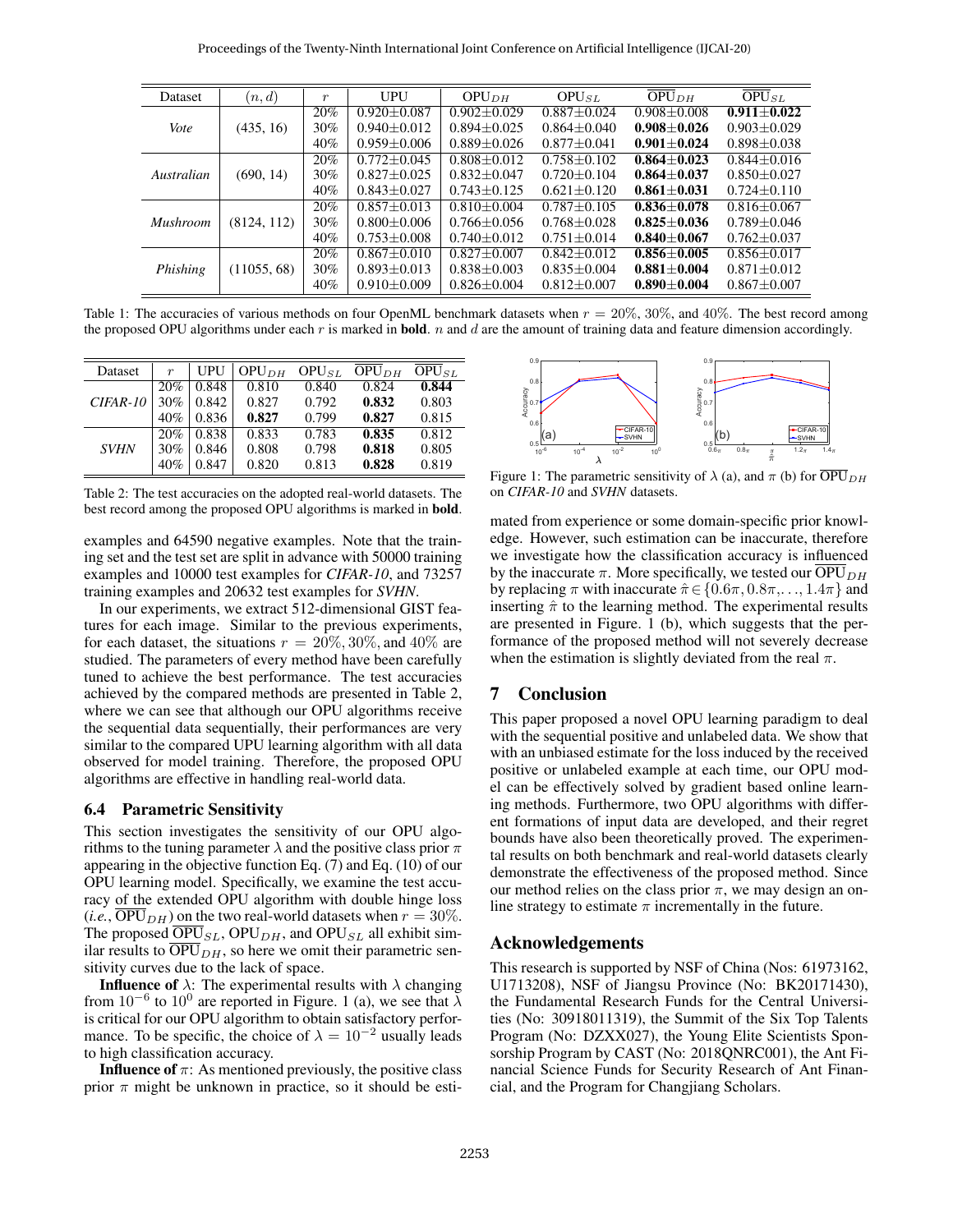| Dataset         | (n,d)       | $\boldsymbol{r}$ | UPU               | OPU <sub>DH</sub> | $OPU_{SL}$      | $OPU_{DH}$      | $OPU_{SL}$      |
|-----------------|-------------|------------------|-------------------|-------------------|-----------------|-----------------|-----------------|
| Vote            | (435, 16)   | 20%              | $0.920 + 0.087$   | $0.902 + 0.029$   | $0.887 + 0.024$ | $0.908 + 0.008$ | $0.911 + 0.022$ |
|                 |             | 30%              | $0.940 + 0.012$   | $0.894 + 0.025$   | $0.864 + 0.040$ | $0.908 + 0.026$ | $0.903 + 0.029$ |
|                 |             | 40%              | $0.959 + 0.006$   | $0.889 + 0.026$   | $0.877 + 0.041$ | $0.901 + 0.024$ | $0.898 + 0.038$ |
| Australian      | (690, 14)   | 20%              | $0.772 + 0.045$   | $0.808 + 0.012$   | $0.758 + 0.102$ | $0.864 + 0.023$ | $0.844 + 0.016$ |
|                 |             | 30%              | $0.827 + 0.025$   | $0.832 + 0.047$   | $0.720 + 0.104$ | $0.864 + 0.037$ | $0.850 + 0.027$ |
|                 |             | 40%              | $0.843 + 0.027$   | $0.743 + 0.125$   | $0.621 + 0.120$ | $0.861 + 0.031$ | $0.724 + 0.110$ |
| <b>Mushroom</b> | (8124, 112) | 20%              | $0.857 + 0.013$   | $0.810 + 0.004$   | $0.787 + 0.105$ | $0.836 + 0.078$ | $0.816 + 0.067$ |
|                 |             | 30%              | $0.800 + 0.006$   | $0.766 + 0.056$   | $0.768 + 0.028$ | $0.825 + 0.036$ | $0.789 + 0.046$ |
|                 |             | 40%              | $0.753 \pm 0.008$ | $0.740 + 0.012$   | $0.751 + 0.014$ | $0.840 + 0.067$ | $0.762 + 0.037$ |
| Phishing        | (11055, 68) | 20%              | $0.867 + 0.010$   | $0.827 + 0.007$   | $0.842 + 0.012$ | $0.856 + 0.005$ | $0.856 + 0.017$ |
|                 |             | 30%              | $0.893 + 0.013$   | $0.838 + 0.003$   | $0.835 + 0.004$ | $0.881 + 0.004$ | $0.871 + 0.012$ |
|                 |             | 40%              | $0.910 + 0.009$   | $0.826 + 0.004$   | $0.812 + 0.007$ | $0.890 + 0.004$ | $0.867 + 0.007$ |

Table 1: The accuracies of various methods on four OpenML benchmark datasets when  $r = 20\%$ , 30%, and 40%. The best record among the proposed OPU algorithms under each  $r$  is marked in **bold**.  $n$  and  $d$  are the amount of training data and feature dimension accordingly.

| Dataset     | $\boldsymbol{r}$ | UPU   | OPU <sub>DH</sub> | $OPU_{SL}$ | OPU <sub>DH</sub> | $OPU_{SL}$ |
|-------------|------------------|-------|-------------------|------------|-------------------|------------|
|             | 20%              | 0.848 | 0.810             | 0.840      | 0.824             | 0.844      |
| $CIFAR-10$  | 30%              | 0.842 | 0.827             | 0.792      | 0.832             | 0.803      |
|             | 40%              | 0.836 | 0.827             | 0.799      | 0.827             | 0.815      |
|             | 20%              | 0.838 | 0.833             | 0.783      | 0.835             | 0.812      |
| <b>SVHN</b> | 30%              | 0.846 | 0.808             | 0.798      | 0.818             | 0.805      |
|             | 40%              | 0.847 | 0.820             | 0.813      | 0.828             | 0.819      |

Table 2: The test accuracies on the adopted real-world datasets. The best record among the proposed OPU algorithms is marked in bold.

examples and 64590 negative examples. Note that the training set and the test set are split in advance with 50000 training examples and 10000 test examples for *CIFAR-10*, and 73257 training examples and 20632 test examples for *SVHN*.

In our experiments, we extract 512-dimensional GIST features for each image. Similar to the previous experiments, for each dataset, the situations  $r = 20\%, 30\%,$  and  $40\%$  are studied. The parameters of every method have been carefully tuned to achieve the best performance. The test accuracies achieved by the compared methods are presented in Table 2, where we can see that although our OPU algorithms receive the sequential data sequentially, their performances are very similar to the compared UPU learning algorithm with all data observed for model training. Therefore, the proposed OPU algorithms are effective in handling real-world data.

# 6.4 Parametric Sensitivity

This section investigates the sensitivity of our OPU algorithms to the tuning parameter  $\lambda$  and the positive class prior  $\pi$ appearing in the objective function Eq. (7) and Eq. (10) of our OPU learning model. Specifically, we examine the test accuracy of the extended OPU algorithm with double hinge loss  $(i.e., \overline{OPU}_{DH})$  on the two real-world datasets when  $r = 30\%$ . The proposed  $\overline{OPU}_{SL}$ , OPU<sub>DH</sub>, and OPU<sub>SL</sub> all exhibit similar results to  $\overline{OPU}_{DH}$ , so here we omit their parametric sensitivity curves due to the lack of space.

**Influence of**  $\lambda$ : The experimental results with  $\lambda$  changing from  $10^{-6}$  to  $10^{0}$  are reported in Figure. 1 (a), we see that  $\lambda$ is critical for our OPU algorithm to obtain satisfactory performance. To be specific, the choice of  $\lambda = 10^{-2}$  usually leads to high classification accuracy.

**Influence of**  $\pi$ : As mentioned previously, the positive class prior  $\pi$  might be unknown in practice, so it should be esti-



Figure 1: The parametric sensitivity of  $\lambda$  (a), and  $\pi$  (b) for  $\overline{OPU}_{DH}$ on *CIFAR-10* and *SVHN* datasets.

mated from experience or some domain-specific prior knowledge. However, such estimation can be inaccurate, therefore we investigate how the classification accuracy is influenced by the inaccurate  $\pi$ . More specifically, we tested our  $\overline{OPU}_{DH}$ by replacing  $\pi$  with inaccurate  $\hat{\pi} \in \{0.6\pi, 0.8\pi, \dots, 1.4\pi\}$  and inserting  $\hat{\pi}$  to the learning method. The experimental results are presented in Figure. 1 (b), which suggests that the performance of the proposed method will not severely decrease when the estimation is slightly deviated from the real  $\pi$ .

# 7 Conclusion

This paper proposed a novel OPU learning paradigm to deal with the sequential positive and unlabeled data. We show that with an unbiased estimate for the loss induced by the received positive or unlabeled example at each time, our OPU model can be effectively solved by gradient based online learning methods. Furthermore, two OPU algorithms with different formations of input data are developed, and their regret bounds have also been theoretically proved. The experimental results on both benchmark and real-world datasets clearly demonstrate the effectiveness of the proposed method. Since our method relies on the class prior  $\pi$ , we may design an online strategy to estimate  $\pi$  incrementally in the future.

# Acknowledgements

This research is supported by NSF of China (Nos: 61973162, U1713208), NSF of Jiangsu Province (No: BK20171430), the Fundamental Research Funds for the Central Universities (No: 30918011319), the Summit of the Six Top Talents Program (No: DZXX027), the Young Elite Scientists Sponsorship Program by CAST (No: 2018QNRC001), the Ant Financial Science Funds for Security Research of Ant Financial, and the Program for Changjiang Scholars.